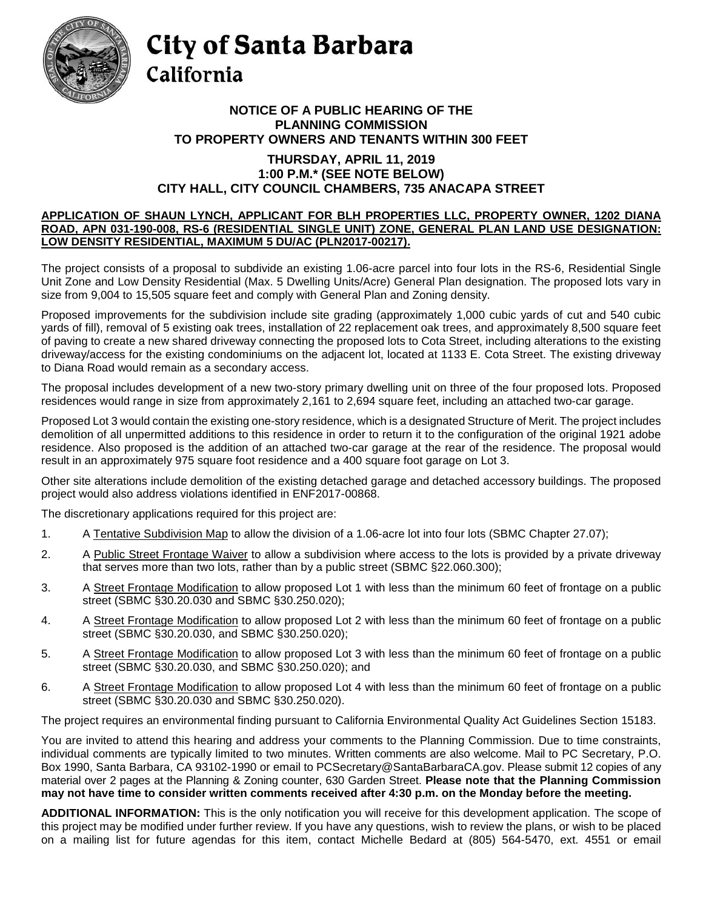

## City of Santa Barbara California

## **NOTICE OF A PUBLIC HEARING OF THE PLANNING COMMISSION TO PROPERTY OWNERS AND TENANTS WITHIN 300 FEET**

## **THURSDAY, APRIL 11, 2019 1:00 P.M.\* (SEE NOTE BELOW) CITY HALL, CITY COUNCIL CHAMBERS, 735 ANACAPA STREET**

## **APPLICATION OF SHAUN LYNCH, APPLICANT FOR BLH PROPERTIES LLC, PROPERTY OWNER, 1202 DIANA ROAD, APN 031-190-008, RS-6 (RESIDENTIAL SINGLE UNIT) ZONE, GENERAL PLAN LAND USE DESIGNATION: LOW DENSITY RESIDENTIAL, MAXIMUM 5 DU/AC (PLN2017-00217).**

The project consists of a proposal to subdivide an existing 1.06-acre parcel into four lots in the RS-6, Residential Single Unit Zone and Low Density Residential (Max. 5 Dwelling Units/Acre) General Plan designation. The proposed lots vary in size from 9,004 to 15,505 square feet and comply with General Plan and Zoning density.

Proposed improvements for the subdivision include site grading (approximately 1,000 cubic yards of cut and 540 cubic yards of fill), removal of 5 existing oak trees, installation of 22 replacement oak trees, and approximately 8,500 square feet of paving to create a new shared driveway connecting the proposed lots to Cota Street, including alterations to the existing driveway/access for the existing condominiums on the adjacent lot, located at 1133 E. Cota Street. The existing driveway to Diana Road would remain as a secondary access.

The proposal includes development of a new two-story primary dwelling unit on three of the four proposed lots. Proposed residences would range in size from approximately 2,161 to 2,694 square feet, including an attached two-car garage.

Proposed Lot 3 would contain the existing one-story residence, which is a designated Structure of Merit. The project includes demolition of all unpermitted additions to this residence in order to return it to the configuration of the original 1921 adobe residence. Also proposed is the addition of an attached two-car garage at the rear of the residence. The proposal would result in an approximately 975 square foot residence and a 400 square foot garage on Lot 3.

Other site alterations include demolition of the existing detached garage and detached accessory buildings. The proposed project would also address violations identified in ENF2017-00868.

The discretionary applications required for this project are:

- 1. A Tentative Subdivision Map to allow the division of a 1.06-acre lot into four lots (SBMC Chapter 27.07);
- 2. A Public Street Frontage Waiver to allow a subdivision where access to the lots is provided by a private driveway that serves more than two lots, rather than by a public street (SBMC §22.060.300);
- 3. A Street Frontage Modification to allow proposed Lot 1 with less than the minimum 60 feet of frontage on a public street (SBMC §30.20.030 and SBMC §30.250.020);
- 4. A Street Frontage Modification to allow proposed Lot 2 with less than the minimum 60 feet of frontage on a public street (SBMC §30.20.030, and SBMC §30.250.020);
- 5. A Street Frontage Modification to allow proposed Lot 3 with less than the minimum 60 feet of frontage on a public street (SBMC §30.20.030, and SBMC §30.250.020); and
- 6. A Street Frontage Modification to allow proposed Lot 4 with less than the minimum 60 feet of frontage on a public street (SBMC §30.20.030 and SBMC §30.250.020).

The project requires an environmental finding pursuant to California Environmental Quality Act Guidelines Section 15183.

You are invited to attend this hearing and address your comments to the Planning Commission. Due to time constraints, individual comments are typically limited to two minutes. Written comments are also welcome. Mail to PC Secretary, P.O. Box 1990, Santa Barbara, CA 93102-1990 or email to [PCSecretary@SantaBarbaraCA.gov.](mailto:PCSecretary@SantaBarbaraCA.gov) Please submit 12 copies of any material over 2 pages at the Planning & Zoning counter, 630 Garden Street. **Please note that the Planning Commission may not have time to consider written comments received after 4:30 p.m. on the Monday before the meeting.**

**ADDITIONAL INFORMATION:** This is the only notification you will receive for this development application. The scope of this project may be modified under further review. If you have any questions, wish to review the plans, or wish to be placed on a mailing list for future agendas for this item, contact Michelle Bedard at (805) 564-5470, ext. 4551 or email